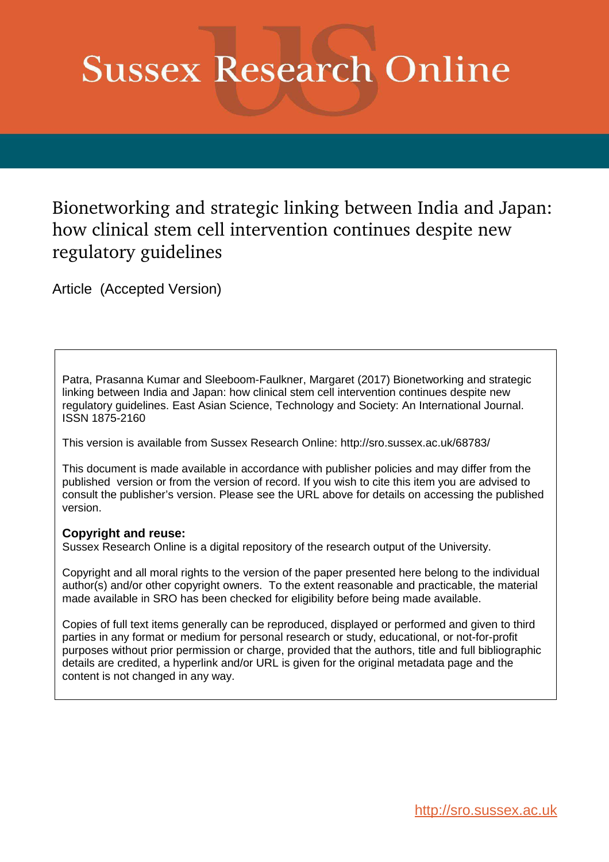# **Sussex Research Online**

# Bionetworking and strategic linking between India and Japan: how clinical stem cell intervention continues despite new regulatory guidelines

Article (Accepted Version)

Patra, Prasanna Kumar and Sleeboom-Faulkner, Margaret (2017) Bionetworking and strategic linking between India and Japan: how clinical stem cell intervention continues despite new regulatory guidelines. East Asian Science, Technology and Society: An International Journal. ISSN 1875-2160

This version is available from Sussex Research Online: http://sro.sussex.ac.uk/68783/

This document is made available in accordance with publisher policies and may differ from the published version or from the version of record. If you wish to cite this item you are advised to consult the publisher's version. Please see the URL above for details on accessing the published version.

## **Copyright and reuse:**

Sussex Research Online is a digital repository of the research output of the University.

Copyright and all moral rights to the version of the paper presented here belong to the individual author(s) and/or other copyright owners. To the extent reasonable and practicable, the material made available in SRO has been checked for eligibility before being made available.

Copies of full text items generally can be reproduced, displayed or performed and given to third parties in any format or medium for personal research or study, educational, or not-for-profit purposes without prior permission or charge, provided that the authors, title and full bibliographic details are credited, a hyperlink and/or URL is given for the original metadata page and the content is not changed in any way.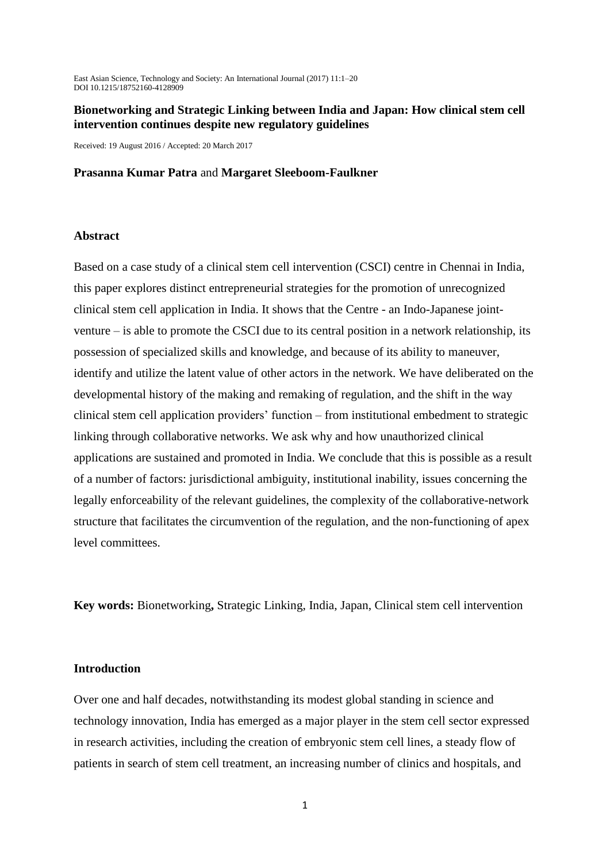East Asian Science, Technology and Society: An International Journal (2017) 11:1–20 DOI 10.1215/18752160-4128909

#### **Bionetworking and Strategic Linking between India and Japan: How clinical stem cell intervention continues despite new regulatory guidelines**

Received: 19 August 2016 / Accepted: 20 March 2017

#### **Prasanna Kumar Patra** and **Margaret Sleeboom-Faulkner**

#### **Abstract**

Based on a case study of a clinical stem cell intervention (CSCI) centre in Chennai in India, this paper explores distinct entrepreneurial strategies for the promotion of unrecognized clinical stem cell application in India. It shows that the Centre - an Indo-Japanese jointventure – is able to promote the CSCI due to its central position in a network relationship, its possession of specialized skills and knowledge, and because of its ability to maneuver, identify and utilize the latent value of other actors in the network. We have deliberated on the developmental history of the making and remaking of regulation, and the shift in the way clinical stem cell application providers' function – from institutional embedment to strategic linking through collaborative networks. We ask why and how unauthorized clinical applications are sustained and promoted in India. We conclude that this is possible as a result of a number of factors: jurisdictional ambiguity, institutional inability, issues concerning the legally enforceability of the relevant guidelines, the complexity of the collaborative-network structure that facilitates the circumvention of the regulation, and the non-functioning of apex level committees.

**Key words:** Bionetworking**,** Strategic Linking, India, Japan, Clinical stem cell intervention

#### **Introduction**

Over one and half decades, notwithstanding its modest global standing in science and technology innovation, India has emerged as a major player in the stem cell sector expressed in research activities, including the creation of embryonic stem cell lines, a steady flow of patients in search of stem cell treatment, an increasing number of clinics and hospitals, and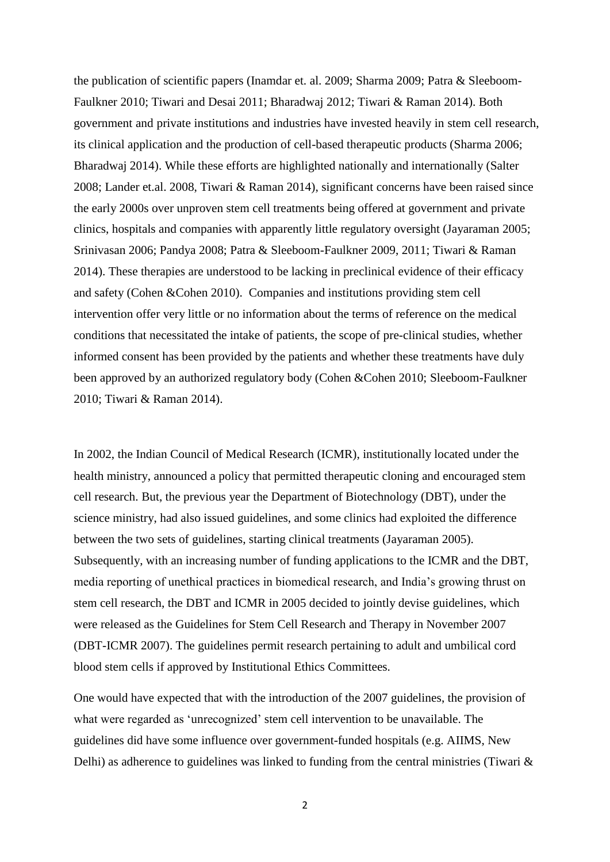the publication of scientific papers (Inamdar et. al. 2009; Sharma 2009; Patra & Sleeboom-Faulkner 2010; Tiwari and Desai 2011; Bharadwaj 2012; Tiwari & Raman 2014). Both government and private institutions and industries have invested heavily in stem cell research, its clinical application and the production of cell-based therapeutic products (Sharma 2006; Bharadwaj 2014). While these efforts are highlighted nationally and internationally (Salter 2008; Lander et.al. 2008, Tiwari & Raman 2014), significant concerns have been raised since the early 2000s over unproven stem cell treatments being offered at government and private clinics, hospitals and companies with apparently little regulatory oversight (Jayaraman 2005; Srinivasan 2006; Pandya 2008; Patra & Sleeboom-Faulkner 2009, 2011; Tiwari & Raman 2014). These therapies are understood to be lacking in preclinical evidence of their efficacy and safety (Cohen &Cohen 2010). Companies and institutions providing stem cell intervention offer very little or no information about the terms of reference on the medical conditions that necessitated the intake of patients, the scope of pre-clinical studies, whether informed consent has been provided by the patients and whether these treatments have duly been approved by an authorized regulatory body (Cohen &Cohen 2010; Sleeboom-Faulkner 2010; Tiwari & Raman 2014).

In 2002, the Indian Council of Medical Research (ICMR), institutionally located under the health ministry, announced a policy that permitted therapeutic cloning and encouraged stem cell research. But, the previous year the Department of Biotechnology (DBT), under the science ministry, had also issued guidelines, and some clinics had exploited the difference between the two sets of guidelines, starting clinical treatments (Jayaraman 2005). Subsequently, with an increasing number of funding applications to the ICMR and the DBT, media reporting of unethical practices in biomedical research, and India's growing thrust on stem cell research, the DBT and ICMR in 2005 decided to jointly devise guidelines, which were released as the Guidelines for Stem Cell Research and Therapy in November 2007 (DBT-ICMR 2007). The guidelines permit research pertaining to adult and umbilical cord blood stem cells if approved by Institutional Ethics Committees.

One would have expected that with the introduction of the 2007 guidelines, the provision of what were regarded as 'unrecognized' stem cell intervention to be unavailable. The guidelines did have some influence over government-funded hospitals (e.g. AIIMS, New Delhi) as adherence to guidelines was linked to funding from the central ministries (Tiwari &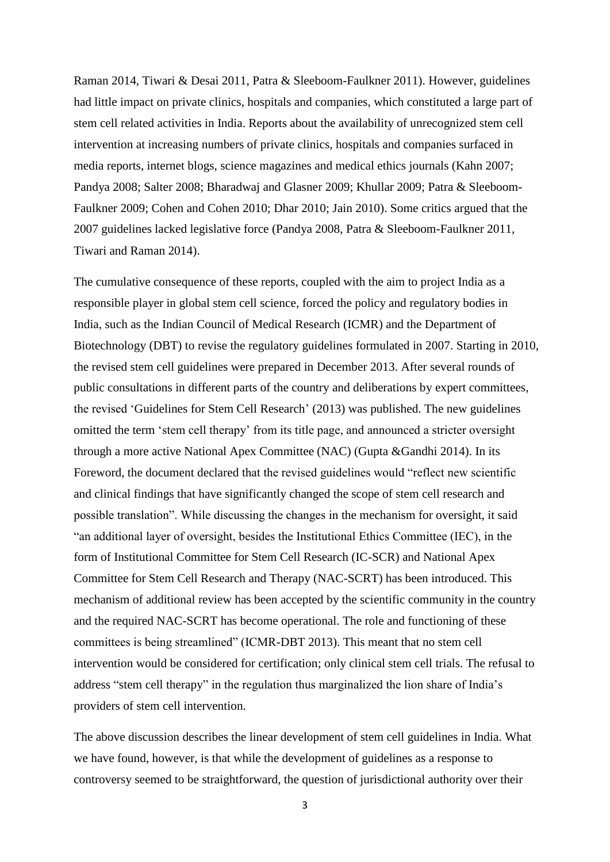Raman 2014, Tiwari & Desai 2011, Patra & Sleeboom-Faulkner 2011). However, guidelines had little impact on private clinics, hospitals and companies, which constituted a large part of stem cell related activities in India. Reports about the availability of unrecognized stem cell intervention at increasing numbers of private clinics, hospitals and companies surfaced in media reports, internet blogs, science magazines and medical ethics journals (Kahn 2007; Pandya 2008; Salter 2008; Bharadwaj and Glasner 2009; Khullar 2009; Patra & Sleeboom-Faulkner 2009; Cohen and Cohen 2010; Dhar 2010; Jain 2010). Some critics argued that the 2007 guidelines lacked legislative force (Pandya 2008, Patra & Sleeboom-Faulkner 2011, Tiwari and Raman 2014).

The cumulative consequence of these reports, coupled with the aim to project India as a responsible player in global stem cell science, forced the policy and regulatory bodies in India, such as the Indian Council of Medical Research (ICMR) and the Department of Biotechnology (DBT) to revise the regulatory guidelines formulated in 2007. Starting in 2010, the revised stem cell guidelines were prepared in December 2013. After several rounds of public consultations in different parts of the country and deliberations by expert committees, the revised 'Guidelines for Stem Cell Research' (2013) was published. The new guidelines omitted the term 'stem cell therapy' from its title page, and announced a stricter oversight through a more active National Apex Committee (NAC) (Gupta &Gandhi 2014). In its Foreword, the document declared that the revised guidelines would "reflect new scientific and clinical findings that have significantly changed the scope of stem cell research and possible translation". While discussing the changes in the mechanism for oversight, it said "an additional layer of oversight, besides the Institutional Ethics Committee (IEC), in the form of Institutional Committee for Stem Cell Research (IC-SCR) and National Apex Committee for Stem Cell Research and Therapy (NAC-SCRT) has been introduced. This mechanism of additional review has been accepted by the scientific community in the country and the required NAC-SCRT has become operational. The role and functioning of these committees is being streamlined" (ICMR-DBT 2013). This meant that no stem cell intervention would be considered for certification; only clinical stem cell trials. The refusal to address "stem cell therapy" in the regulation thus marginalized the lion share of India's providers of stem cell intervention.

The above discussion describes the linear development of stem cell guidelines in India. What we have found, however, is that while the development of guidelines as a response to controversy seemed to be straightforward, the question of jurisdictional authority over their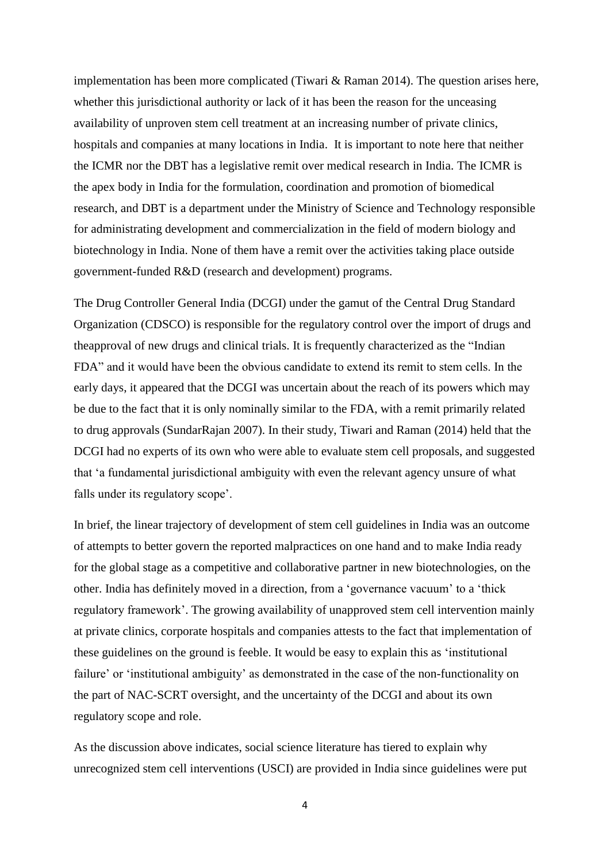implementation has been more complicated (Tiwari & Raman 2014). The question arises here, whether this jurisdictional authority or lack of it has been the reason for the unceasing availability of unproven stem cell treatment at an increasing number of private clinics, hospitals and companies at many locations in India. It is important to note here that neither the ICMR nor the DBT has a legislative remit over medical research in India. The ICMR is the apex body in India for the formulation, coordination and promotion of biomedical research, and DBT is a department under the Ministry of Science and Technology responsible for administrating development and commercialization in the field of modern biology and biotechnology in India. None of them have a remit over the activities taking place outside government-funded R&D (research and development) programs.

The Drug Controller General India (DCGI) under the gamut of the Central Drug Standard Organization (CDSCO) is responsible for the regulatory control over the import of drugs and theapproval of new drugs and clinical trials. It is frequently characterized as the "Indian FDA" and it would have been the obvious candidate to extend its remit to stem cells. In the early days, it appeared that the DCGI was uncertain about the reach of its powers which may be due to the fact that it is only nominally similar to the FDA, with a remit primarily related to drug approvals (SundarRajan 2007). In their study, Tiwari and Raman (2014) held that the DCGI had no experts of its own who were able to evaluate stem cell proposals, and suggested that 'a fundamental jurisdictional ambiguity with even the relevant agency unsure of what falls under its regulatory scope'.

In brief, the linear trajectory of development of stem cell guidelines in India was an outcome of attempts to better govern the reported malpractices on one hand and to make India ready for the global stage as a competitive and collaborative partner in new biotechnologies, on the other. India has definitely moved in a direction, from a 'governance vacuum' to a 'thick regulatory framework'. The growing availability of unapproved stem cell intervention mainly at private clinics, corporate hospitals and companies attests to the fact that implementation of these guidelines on the ground is feeble. It would be easy to explain this as 'institutional failure' or 'institutional ambiguity' as demonstrated in the case of the non-functionality on the part of NAC-SCRT oversight, and the uncertainty of the DCGI and about its own regulatory scope and role.

As the discussion above indicates, social science literature has tiered to explain why unrecognized stem cell interventions (USCI) are provided in India since guidelines were put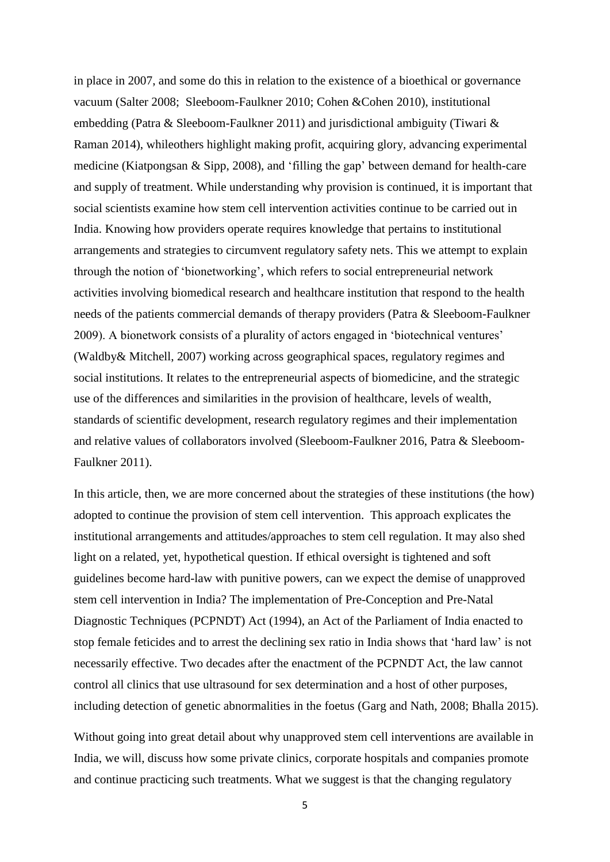in place in 2007, and some do this in relation to the existence of a bioethical or governance vacuum (Salter 2008; Sleeboom-Faulkner 2010; Cohen &Cohen 2010), institutional embedding (Patra & Sleeboom-Faulkner 2011) and jurisdictional ambiguity (Tiwari & Raman 2014), whileothers highlight making profit, acquiring glory, advancing experimental medicine (Kiatpongsan & Sipp, 2008), and 'filling the gap' between demand for health-care and supply of treatment. While understanding why provision is continued, it is important that social scientists examine how stem cell intervention activities continue to be carried out in India. Knowing how providers operate requires knowledge that pertains to institutional arrangements and strategies to circumvent regulatory safety nets. This we attempt to explain through the notion of 'bionetworking', which refers to social entrepreneurial network activities involving biomedical research and healthcare institution that respond to the health needs of the patients commercial demands of therapy providers (Patra & Sleeboom-Faulkner 2009). A bionetwork consists of a plurality of actors engaged in 'biotechnical ventures' (Waldby& Mitchell, 2007) working across geographical spaces, regulatory regimes and social institutions. It relates to the entrepreneurial aspects of biomedicine, and the strategic use of the differences and similarities in the provision of healthcare, levels of wealth, standards of scientific development, research regulatory regimes and their implementation and relative values of collaborators involved (Sleeboom-Faulkner 2016, Patra & Sleeboom-Faulkner 2011).

In this article, then, we are more concerned about the strategies of these institutions (the how) adopted to continue the provision of stem cell intervention. This approach explicates the institutional arrangements and attitudes/approaches to stem cell regulation. It may also shed light on a related, yet, hypothetical question. If ethical oversight is tightened and soft guidelines become hard-law with punitive powers, can we expect the demise of unapproved stem cell intervention in India? The implementation of Pre-Conception and Pre-Natal Diagnostic Techniques (PCPNDT) Act (1994), an Act of the Parliament of India enacted to stop female feticides and to arrest the declining sex ratio in India shows that 'hard law' is not necessarily effective. Two decades after the enactment of the PCPNDT Act, the law cannot control all clinics that use ultrasound for sex determination and a host of other purposes, including detection of genetic abnormalities in the foetus (Garg and Nath, 2008; Bhalla 2015).

Without going into great detail about why unapproved stem cell interventions are available in India, we will, discuss how some private clinics, corporate hospitals and companies promote and continue practicing such treatments. What we suggest is that the changing regulatory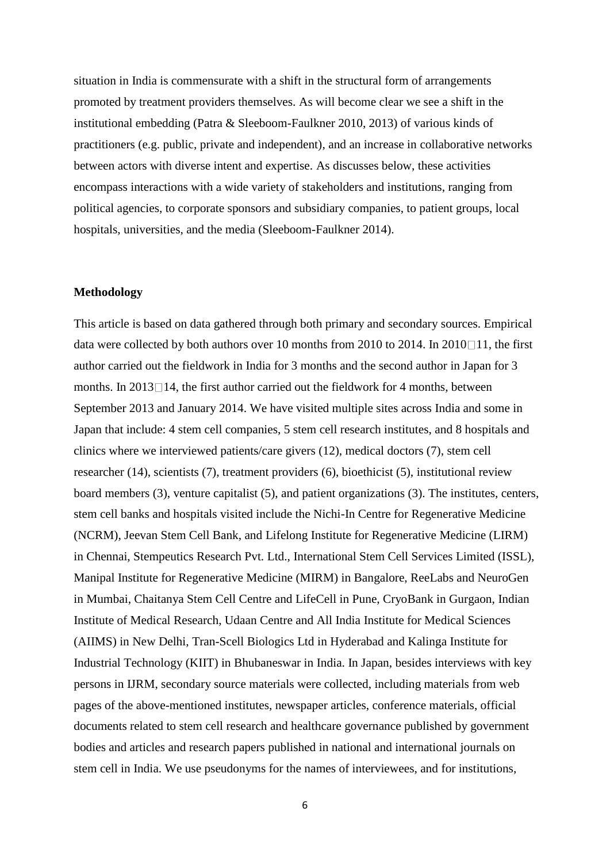situation in India is commensurate with a shift in the structural form of arrangements promoted by treatment providers themselves. As will become clear we see a shift in the institutional embedding (Patra & Sleeboom-Faulkner 2010, 2013) of various kinds of practitioners (e.g. public, private and independent), and an increase in collaborative networks between actors with diverse intent and expertise. As discusses below, these activities encompass interactions with a wide variety of stakeholders and institutions, ranging from political agencies, to corporate sponsors and subsidiary companies, to patient groups, local hospitals, universities, and the media (Sleeboom-Faulkner 2014).

#### **Methodology**

This article is based on data gathered through both primary and secondary sources. Empirical data were collected by both authors over 10 months from 2010 to 2014. In 2010 $\square$ 11, the first author carried out the fieldwork in India for 3 months and the second author in Japan for 3 months. In  $2013 \Box 14$ , the first author carried out the fieldwork for 4 months, between September 2013 and January 2014. We have visited multiple sites across India and some in Japan that include: 4 stem cell companies, 5 stem cell research institutes, and 8 hospitals and clinics where we interviewed patients/care givers (12), medical doctors (7), stem cell researcher (14), scientists (7), treatment providers (6), bioethicist (5), institutional review board members (3), venture capitalist (5), and patient organizations (3). The institutes, centers, stem cell banks and hospitals visited include the Nichi-In Centre for Regenerative Medicine (NCRM), Jeevan Stem Cell Bank, and Lifelong Institute for Regenerative Medicine (LIRM) in Chennai, Stempeutics Research Pvt. Ltd., International Stem Cell Services Limited (ISSL), Manipal Institute for Regenerative Medicine (MIRM) in Bangalore, ReeLabs and NeuroGen in Mumbai, Chaitanya Stem Cell Centre and LifeCell in Pune, CryoBank in Gurgaon, Indian Institute of Medical Research, Udaan Centre and All India Institute for Medical Sciences (AIIMS) in New Delhi, Tran-Scell Biologics Ltd in Hyderabad and Kalinga Institute for Industrial Technology (KIIT) in Bhubaneswar in India. In Japan, besides interviews with key persons in IJRM, secondary source materials were collected, including materials from web pages of the above-mentioned institutes, newspaper articles, conference materials, official documents related to stem cell research and healthcare governance published by government bodies and articles and research papers published in national and international journals on stem cell in India. We use pseudonyms for the names of interviewees, and for institutions,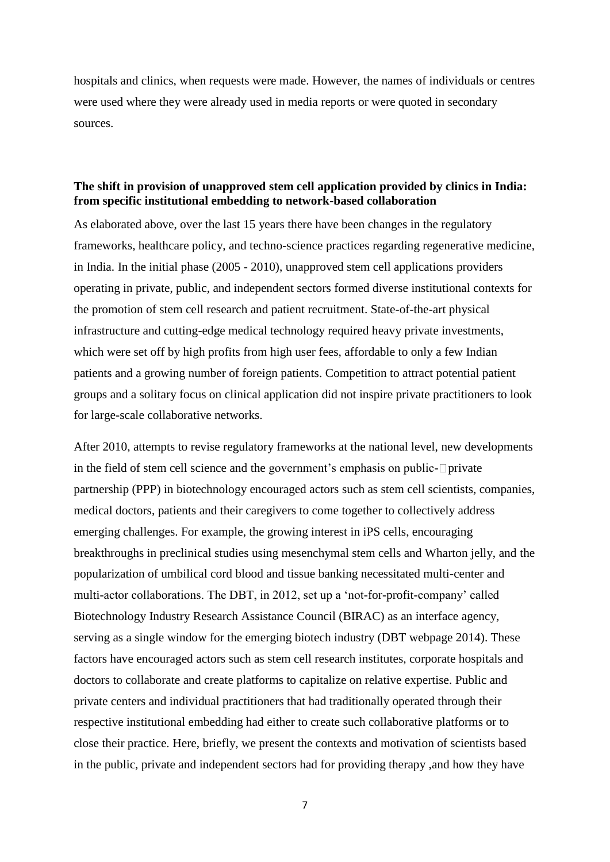hospitals and clinics, when requests were made. However, the names of individuals or centres were used where they were already used in media reports or were quoted in secondary sources.

### **The shift in provision of unapproved stem cell application provided by clinics in India: from specific institutional embedding to network-based collaboration**

As elaborated above, over the last 15 years there have been changes in the regulatory frameworks, healthcare policy, and techno-science practices regarding regenerative medicine, in India. In the initial phase (2005 - 2010), unapproved stem cell applications providers operating in private, public, and independent sectors formed diverse institutional contexts for the promotion of stem cell research and patient recruitment. State-of-the-art physical infrastructure and cutting-edge medical technology required heavy private investments, which were set off by high profits from high user fees, affordable to only a few Indian patients and a growing number of foreign patients. Competition to attract potential patient groups and a solitary focus on clinical application did not inspire private practitioners to look for large-scale collaborative networks.

After 2010, attempts to revise regulatory frameworks at the national level, new developments in the field of stem cell science and the government's emphasis on public- $\Box$ private partnership (PPP) in biotechnology encouraged actors such as stem cell scientists, companies, medical doctors, patients and their caregivers to come together to collectively address emerging challenges. For example, the growing interest in iPS cells, encouraging breakthroughs in preclinical studies using mesenchymal stem cells and Wharton jelly, and the popularization of umbilical cord blood and tissue banking necessitated multi-center and multi-actor collaborations. The DBT, in 2012, set up a 'not-for-profit-company' called Biotechnology Industry Research Assistance Council (BIRAC) as an interface agency, serving as a single window for the emerging biotech industry (DBT webpage 2014). These factors have encouraged actors such as stem cell research institutes, corporate hospitals and doctors to collaborate and create platforms to capitalize on relative expertise. Public and private centers and individual practitioners that had traditionally operated through their respective institutional embedding had either to create such collaborative platforms or to close their practice. Here, briefly, we present the contexts and motivation of scientists based in the public, private and independent sectors had for providing therapy ,and how they have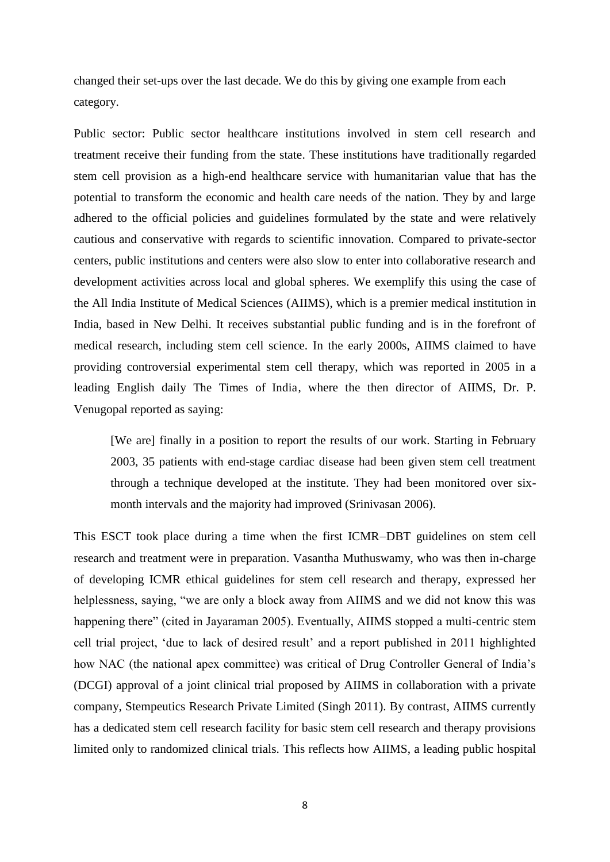changed their set-ups over the last decade. We do this by giving one example from each category.

Public sector: Public sector healthcare institutions involved in stem cell research and treatment receive their funding from the state. These institutions have traditionally regarded stem cell provision as a high-end healthcare service with humanitarian value that has the potential to transform the economic and health care needs of the nation. They by and large adhered to the official policies and guidelines formulated by the state and were relatively cautious and conservative with regards to scientific innovation. Compared to private-sector centers, public institutions and centers were also slow to enter into collaborative research and development activities across local and global spheres. We exemplify this using the case of the All India Institute of Medical Sciences (AIIMS), which is a premier medical institution in India, based in New Delhi. It receives substantial public funding and is in the forefront of medical research, including stem cell science. In the early 2000s, AIIMS claimed to have providing controversial experimental stem cell therapy, which was reported in 2005 in a leading English daily The Times of India, where the then director of AIIMS, Dr. P. Venugopal reported as saying:

[We are] finally in a position to report the results of our work. Starting in February 2003, 35 patients with end-stage cardiac disease had been given stem cell treatment through a technique developed at the institute. They had been monitored over sixmonth intervals and the majority had improved (Srinivasan 2006).

This ESCT took place during a time when the first ICMR-DBT guidelines on stem cell research and treatment were in preparation. Vasantha Muthuswamy, who was then in-charge of developing ICMR ethical guidelines for stem cell research and therapy, expressed her helplessness, saying, "we are only a block away from AIIMS and we did not know this was happening there" (cited in Jayaraman 2005). Eventually, AIIMS stopped a multi-centric stem cell trial project, 'due to lack of desired result' and a report published in 2011 highlighted how NAC (the national apex committee) was critical of Drug Controller General of India's (DCGI) approval of a joint clinical trial proposed by AIIMS in collaboration with a private company, Stempeutics Research Private Limited (Singh 2011). By contrast, AIIMS currently has a dedicated stem cell research facility for basic stem cell research and therapy provisions limited only to randomized clinical trials. This reflects how AIIMS, a leading public hospital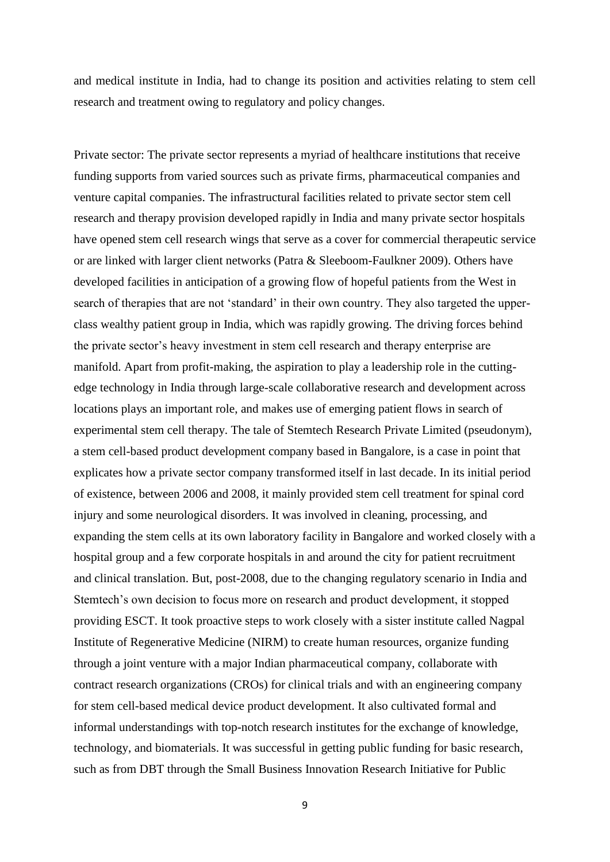and medical institute in India, had to change its position and activities relating to stem cell research and treatment owing to regulatory and policy changes.

Private sector: The private sector represents a myriad of healthcare institutions that receive funding supports from varied sources such as private firms, pharmaceutical companies and venture capital companies. The infrastructural facilities related to private sector stem cell research and therapy provision developed rapidly in India and many private sector hospitals have opened stem cell research wings that serve as a cover for commercial therapeutic service or are linked with larger client networks (Patra & Sleeboom-Faulkner 2009). Others have developed facilities in anticipation of a growing flow of hopeful patients from the West in search of therapies that are not 'standard' in their own country. They also targeted the upperclass wealthy patient group in India, which was rapidly growing. The driving forces behind the private sector's heavy investment in stem cell research and therapy enterprise are manifold. Apart from profit-making, the aspiration to play a leadership role in the cuttingedge technology in India through large-scale collaborative research and development across locations plays an important role, and makes use of emerging patient flows in search of experimental stem cell therapy. The tale of Stemtech Research Private Limited (pseudonym), a stem cell-based product development company based in Bangalore, is a case in point that explicates how a private sector company transformed itself in last decade. In its initial period of existence, between 2006 and 2008, it mainly provided stem cell treatment for spinal cord injury and some neurological disorders. It was involved in cleaning, processing, and expanding the stem cells at its own laboratory facility in Bangalore and worked closely with a hospital group and a few corporate hospitals in and around the city for patient recruitment and clinical translation. But, post-2008, due to the changing regulatory scenario in India and Stemtech's own decision to focus more on research and product development, it stopped providing ESCT. It took proactive steps to work closely with a sister institute called Nagpal Institute of Regenerative Medicine (NIRM) to create human resources, organize funding through a joint venture with a major Indian pharmaceutical company, collaborate with contract research organizations (CROs) for clinical trials and with an engineering company for stem cell-based medical device product development. It also cultivated formal and informal understandings with top-notch research institutes for the exchange of knowledge, technology, and biomaterials. It was successful in getting public funding for basic research, such as from DBT through the Small Business Innovation Research Initiative for Public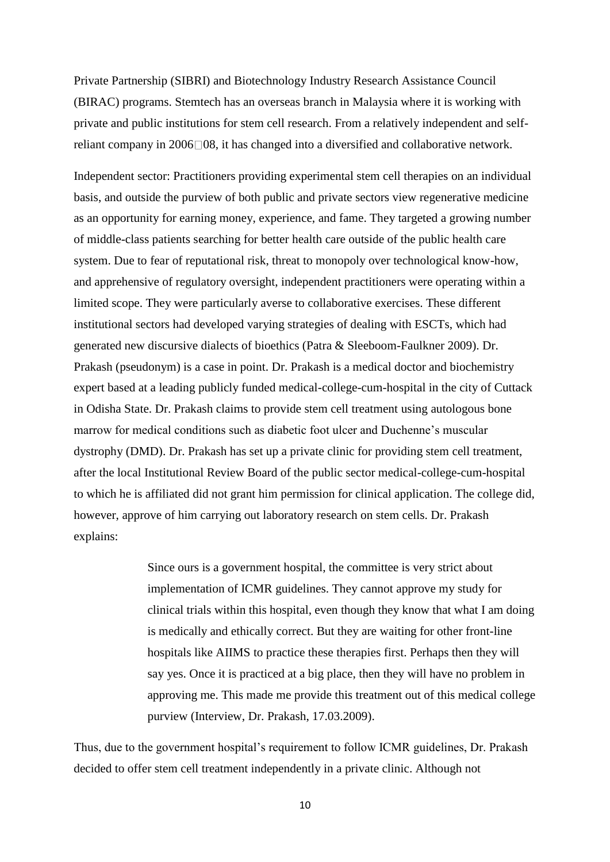Private Partnership (SIBRI) and Biotechnology Industry Research Assistance Council (BIRAC) programs. Stemtech has an overseas branch in Malaysia where it is working with private and public institutions for stem cell research. From a relatively independent and selfreliant company in  $2006\Box 08$ , it has changed into a diversified and collaborative network.

Independent sector: Practitioners providing experimental stem cell therapies on an individual basis, and outside the purview of both public and private sectors view regenerative medicine as an opportunity for earning money, experience, and fame. They targeted a growing number of middle-class patients searching for better health care outside of the public health care system. Due to fear of reputational risk, threat to monopoly over technological know-how, and apprehensive of regulatory oversight, independent practitioners were operating within a limited scope. They were particularly averse to collaborative exercises. These different institutional sectors had developed varying strategies of dealing with ESCTs, which had generated new discursive dialects of bioethics (Patra & Sleeboom-Faulkner 2009). Dr. Prakash (pseudonym) is a case in point. Dr. Prakash is a medical doctor and biochemistry expert based at a leading publicly funded medical-college-cum-hospital in the city of Cuttack in Odisha State. Dr. Prakash claims to provide stem cell treatment using autologous bone marrow for medical conditions such as diabetic foot ulcer and Duchenne's muscular dystrophy (DMD). Dr. Prakash has set up a private clinic for providing stem cell treatment, after the local Institutional Review Board of the public sector medical-college-cum-hospital to which he is affiliated did not grant him permission for clinical application. The college did, however, approve of him carrying out laboratory research on stem cells. Dr. Prakash explains:

> Since ours is a government hospital, the committee is very strict about implementation of ICMR guidelines. They cannot approve my study for clinical trials within this hospital, even though they know that what I am doing is medically and ethically correct. But they are waiting for other front-line hospitals like AIIMS to practice these therapies first. Perhaps then they will say yes. Once it is practiced at a big place, then they will have no problem in approving me. This made me provide this treatment out of this medical college purview (Interview, Dr. Prakash, 17.03.2009).

Thus, due to the government hospital's requirement to follow ICMR guidelines, Dr. Prakash decided to offer stem cell treatment independently in a private clinic. Although not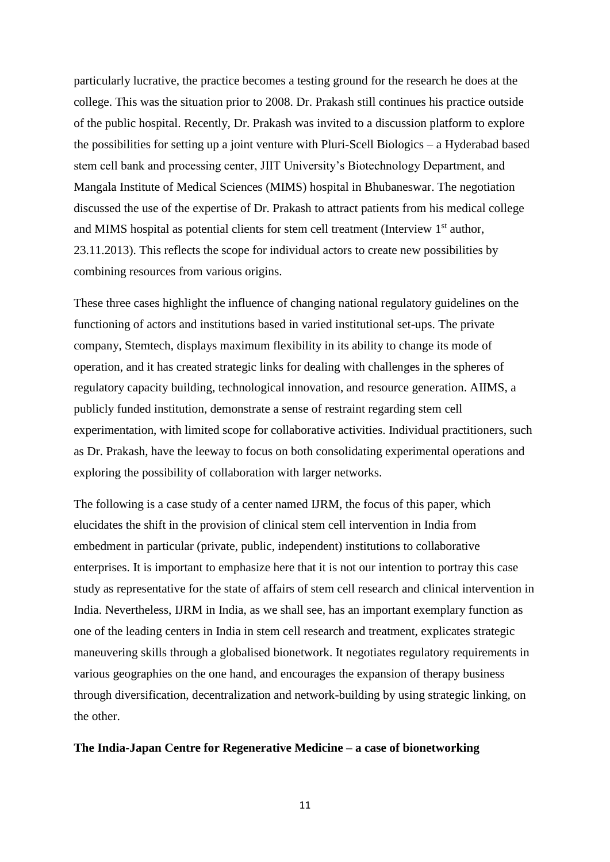particularly lucrative, the practice becomes a testing ground for the research he does at the college. This was the situation prior to 2008. Dr. Prakash still continues his practice outside of the public hospital. Recently, Dr. Prakash was invited to a discussion platform to explore the possibilities for setting up a joint venture with Pluri-Scell Biologics – a Hyderabad based stem cell bank and processing center, JIIT University's Biotechnology Department, and Mangala Institute of Medical Sciences (MIMS) hospital in Bhubaneswar. The negotiation discussed the use of the expertise of Dr. Prakash to attract patients from his medical college and MIMS hospital as potential clients for stem cell treatment (Interview  $1<sup>st</sup>$  author, 23.11.2013). This reflects the scope for individual actors to create new possibilities by combining resources from various origins.

These three cases highlight the influence of changing national regulatory guidelines on the functioning of actors and institutions based in varied institutional set-ups. The private company, Stemtech, displays maximum flexibility in its ability to change its mode of operation, and it has created strategic links for dealing with challenges in the spheres of regulatory capacity building, technological innovation, and resource generation. AIIMS, a publicly funded institution, demonstrate a sense of restraint regarding stem cell experimentation, with limited scope for collaborative activities. Individual practitioners, such as Dr. Prakash, have the leeway to focus on both consolidating experimental operations and exploring the possibility of collaboration with larger networks.

The following is a case study of a center named IJRM, the focus of this paper, which elucidates the shift in the provision of clinical stem cell intervention in India from embedment in particular (private, public, independent) institutions to collaborative enterprises. It is important to emphasize here that it is not our intention to portray this case study as representative for the state of affairs of stem cell research and clinical intervention in India. Nevertheless, IJRM in India, as we shall see, has an important exemplary function as one of the leading centers in India in stem cell research and treatment, explicates strategic maneuvering skills through a globalised bionetwork. It negotiates regulatory requirements in various geographies on the one hand, and encourages the expansion of therapy business through diversification, decentralization and network-building by using strategic linking, on the other.

#### **The India-Japan Centre for Regenerative Medicine – a case of bionetworking**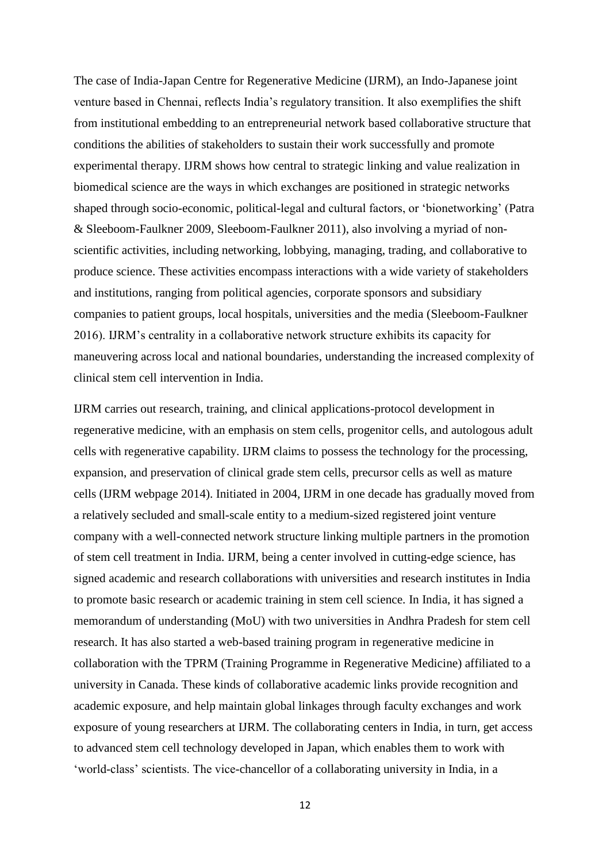The case of India-Japan Centre for Regenerative Medicine (IJRM), an Indo-Japanese joint venture based in Chennai, reflects India's regulatory transition. It also exemplifies the shift from institutional embedding to an entrepreneurial network based collaborative structure that conditions the abilities of stakeholders to sustain their work successfully and promote experimental therapy. IJRM shows how central to strategic linking and value realization in biomedical science are the ways in which exchanges are positioned in strategic networks shaped through socio-economic, political-legal and cultural factors, or 'bionetworking' (Patra & Sleeboom-Faulkner 2009, Sleeboom-Faulkner 2011), also involving a myriad of nonscientific activities, including networking, lobbying, managing, trading, and collaborative to produce science. These activities encompass interactions with a wide variety of stakeholders and institutions, ranging from political agencies, corporate sponsors and subsidiary companies to patient groups, local hospitals, universities and the media (Sleeboom-Faulkner 2016). IJRM's centrality in a collaborative network structure exhibits its capacity for maneuvering across local and national boundaries, understanding the increased complexity of clinical stem cell intervention in India.

IJRM carries out research, training, and clinical applications-protocol development in regenerative medicine, with an emphasis on stem cells, progenitor cells, and autologous adult cells with regenerative capability. IJRM claims to possess the technology for the processing, expansion, and preservation of clinical grade stem cells, precursor cells as well as mature cells (IJRM webpage 2014). Initiated in 2004, IJRM in one decade has gradually moved from a relatively secluded and small-scale entity to a medium-sized registered joint venture company with a well-connected network structure linking multiple partners in the promotion of stem cell treatment in India. IJRM, being a center involved in cutting-edge science, has signed academic and research collaborations with universities and research institutes in India to promote basic research or academic training in stem cell science. In India, it has signed a memorandum of understanding (MoU) with two universities in Andhra Pradesh for stem cell research. It has also started a web-based training program in regenerative medicine in collaboration with the TPRM (Training Programme in Regenerative Medicine) affiliated to a university in Canada. These kinds of collaborative academic links provide recognition and academic exposure, and help maintain global linkages through faculty exchanges and work exposure of young researchers at IJRM. The collaborating centers in India, in turn, get access to advanced stem cell technology developed in Japan, which enables them to work with 'world-class' scientists. The vice-chancellor of a collaborating university in India, in a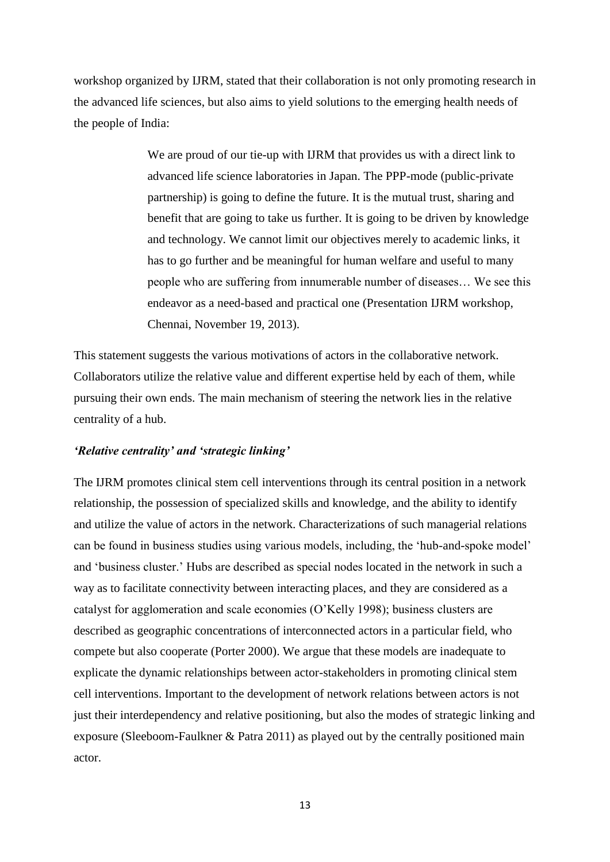workshop organized by IJRM, stated that their collaboration is not only promoting research in the advanced life sciences, but also aims to yield solutions to the emerging health needs of the people of India:

> We are proud of our tie-up with IJRM that provides us with a direct link to advanced life science laboratories in Japan. The PPP-mode (public-private partnership) is going to define the future. It is the mutual trust, sharing and benefit that are going to take us further. It is going to be driven by knowledge and technology. We cannot limit our objectives merely to academic links, it has to go further and be meaningful for human welfare and useful to many people who are suffering from innumerable number of diseases… We see this endeavor as a need-based and practical one (Presentation IJRM workshop, Chennai, November 19, 2013).

This statement suggests the various motivations of actors in the collaborative network. Collaborators utilize the relative value and different expertise held by each of them, while pursuing their own ends. The main mechanism of steering the network lies in the relative centrality of a hub.

#### *'Relative centrality' and 'strategic linking'*

The IJRM promotes clinical stem cell interventions through its central position in a network relationship, the possession of specialized skills and knowledge, and the ability to identify and utilize the value of actors in the network. Characterizations of such managerial relations can be found in business studies using various models, including, the 'hub-and-spoke model' and 'business cluster.' Hubs are described as special nodes located in the network in such a way as to facilitate connectivity between interacting places, and they are considered as a catalyst for agglomeration and scale economies (O'Kelly 1998); business clusters are described as geographic concentrations of interconnected actors in a particular field, who compete but also cooperate (Porter 2000). We argue that these models are inadequate to explicate the dynamic relationships between actor-stakeholders in promoting clinical stem cell interventions. Important to the development of network relations between actors is not just their interdependency and relative positioning, but also the modes of strategic linking and exposure (Sleeboom-Faulkner & Patra 2011) as played out by the centrally positioned main actor.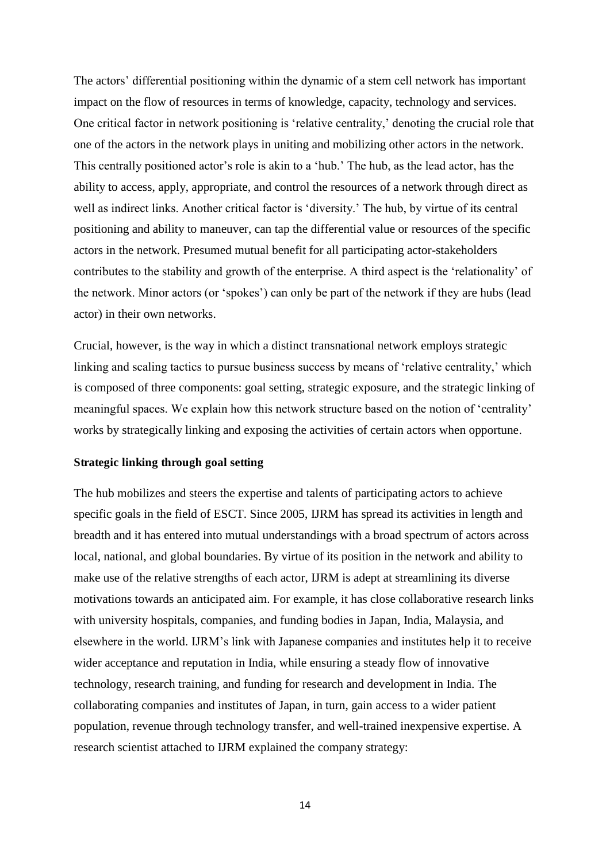The actors' differential positioning within the dynamic of a stem cell network has important impact on the flow of resources in terms of knowledge, capacity, technology and services. One critical factor in network positioning is 'relative centrality,' denoting the crucial role that one of the actors in the network plays in uniting and mobilizing other actors in the network. This centrally positioned actor's role is akin to a 'hub.' The hub, as the lead actor, has the ability to access, apply, appropriate, and control the resources of a network through direct as well as indirect links. Another critical factor is 'diversity.' The hub, by virtue of its central positioning and ability to maneuver, can tap the differential value or resources of the specific actors in the network. Presumed mutual benefit for all participating actor-stakeholders contributes to the stability and growth of the enterprise. A third aspect is the 'relationality' of the network. Minor actors (or 'spokes') can only be part of the network if they are hubs (lead actor) in their own networks.

Crucial, however, is the way in which a distinct transnational network employs strategic linking and scaling tactics to pursue business success by means of 'relative centrality,' which is composed of three components: goal setting, strategic exposure, and the strategic linking of meaningful spaces. We explain how this network structure based on the notion of 'centrality' works by strategically linking and exposing the activities of certain actors when opportune.

#### **Strategic linking through goal setting**

The hub mobilizes and steers the expertise and talents of participating actors to achieve specific goals in the field of ESCT. Since 2005, IJRM has spread its activities in length and breadth and it has entered into mutual understandings with a broad spectrum of actors across local, national, and global boundaries. By virtue of its position in the network and ability to make use of the relative strengths of each actor, IJRM is adept at streamlining its diverse motivations towards an anticipated aim. For example, it has close collaborative research links with university hospitals, companies, and funding bodies in Japan, India, Malaysia, and elsewhere in the world. IJRM's link with Japanese companies and institutes help it to receive wider acceptance and reputation in India, while ensuring a steady flow of innovative technology, research training, and funding for research and development in India. The collaborating companies and institutes of Japan, in turn, gain access to a wider patient population, revenue through technology transfer, and well-trained inexpensive expertise. A research scientist attached to IJRM explained the company strategy: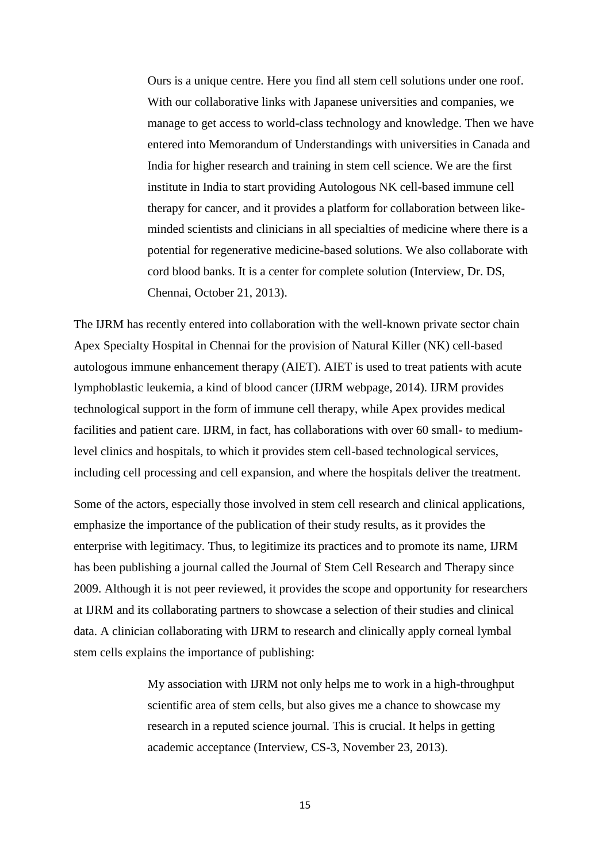Ours is a unique centre. Here you find all stem cell solutions under one roof. With our collaborative links with Japanese universities and companies, we manage to get access to world-class technology and knowledge. Then we have entered into Memorandum of Understandings with universities in Canada and India for higher research and training in stem cell science. We are the first institute in India to start providing Autologous NK cell-based immune cell therapy for cancer, and it provides a platform for collaboration between likeminded scientists and clinicians in all specialties of medicine where there is a potential for regenerative medicine-based solutions. We also collaborate with cord blood banks. It is a center for complete solution (Interview, Dr. DS, Chennai, October 21, 2013).

The IJRM has recently entered into collaboration with the well-known private sector chain Apex Specialty Hospital in Chennai for the provision of Natural Killer (NK) cell-based autologous immune enhancement therapy (AIET). AIET is used to treat patients with acute lymphoblastic leukemia, a kind of blood cancer (IJRM webpage, 2014). IJRM provides technological support in the form of immune cell therapy, while Apex provides medical facilities and patient care. IJRM, in fact, has collaborations with over 60 small- to mediumlevel clinics and hospitals, to which it provides stem cell-based technological services, including cell processing and cell expansion, and where the hospitals deliver the treatment.

Some of the actors, especially those involved in stem cell research and clinical applications, emphasize the importance of the publication of their study results, as it provides the enterprise with legitimacy. Thus, to legitimize its practices and to promote its name, IJRM has been publishing a journal called the Journal of Stem Cell Research and Therapy since 2009. Although it is not peer reviewed, it provides the scope and opportunity for researchers at IJRM and its collaborating partners to showcase a selection of their studies and clinical data. A clinician collaborating with IJRM to research and clinically apply corneal lymbal stem cells explains the importance of publishing:

> My association with IJRM not only helps me to work in a high-throughput scientific area of stem cells, but also gives me a chance to showcase my research in a reputed science journal. This is crucial. It helps in getting academic acceptance (Interview, CS-3, November 23, 2013).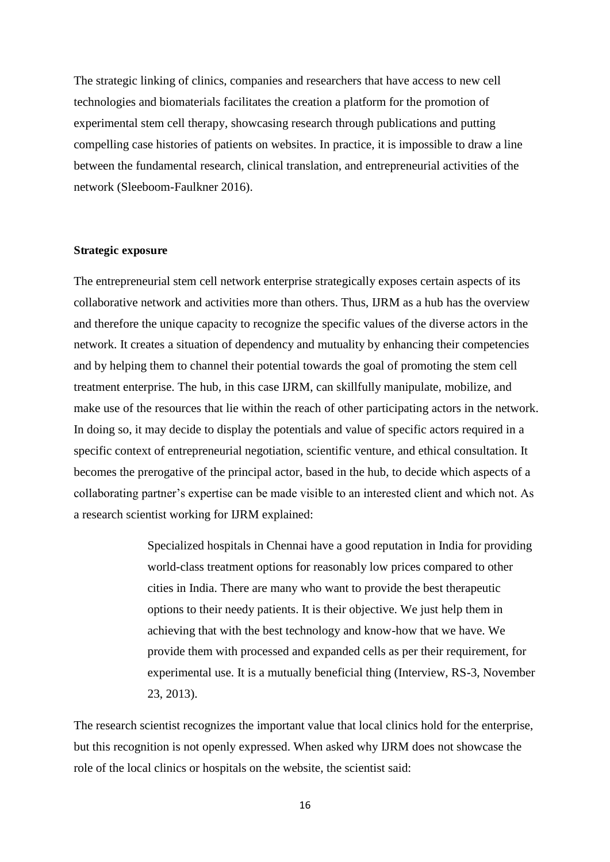The strategic linking of clinics, companies and researchers that have access to new cell technologies and biomaterials facilitates the creation a platform for the promotion of experimental stem cell therapy, showcasing research through publications and putting compelling case histories of patients on websites. In practice, it is impossible to draw a line between the fundamental research, clinical translation, and entrepreneurial activities of the network (Sleeboom-Faulkner 2016).

#### **Strategic exposure**

The entrepreneurial stem cell network enterprise strategically exposes certain aspects of its collaborative network and activities more than others. Thus, IJRM as a hub has the overview and therefore the unique capacity to recognize the specific values of the diverse actors in the network. It creates a situation of dependency and mutuality by enhancing their competencies and by helping them to channel their potential towards the goal of promoting the stem cell treatment enterprise. The hub, in this case IJRM, can skillfully manipulate, mobilize, and make use of the resources that lie within the reach of other participating actors in the network. In doing so, it may decide to display the potentials and value of specific actors required in a specific context of entrepreneurial negotiation, scientific venture, and ethical consultation. It becomes the prerogative of the principal actor, based in the hub, to decide which aspects of a collaborating partner's expertise can be made visible to an interested client and which not. As a research scientist working for IJRM explained:

> Specialized hospitals in Chennai have a good reputation in India for providing world-class treatment options for reasonably low prices compared to other cities in India. There are many who want to provide the best therapeutic options to their needy patients. It is their objective. We just help them in achieving that with the best technology and know-how that we have. We provide them with processed and expanded cells as per their requirement, for experimental use. It is a mutually beneficial thing (Interview, RS-3, November 23, 2013).

The research scientist recognizes the important value that local clinics hold for the enterprise, but this recognition is not openly expressed. When asked why IJRM does not showcase the role of the local clinics or hospitals on the website, the scientist said: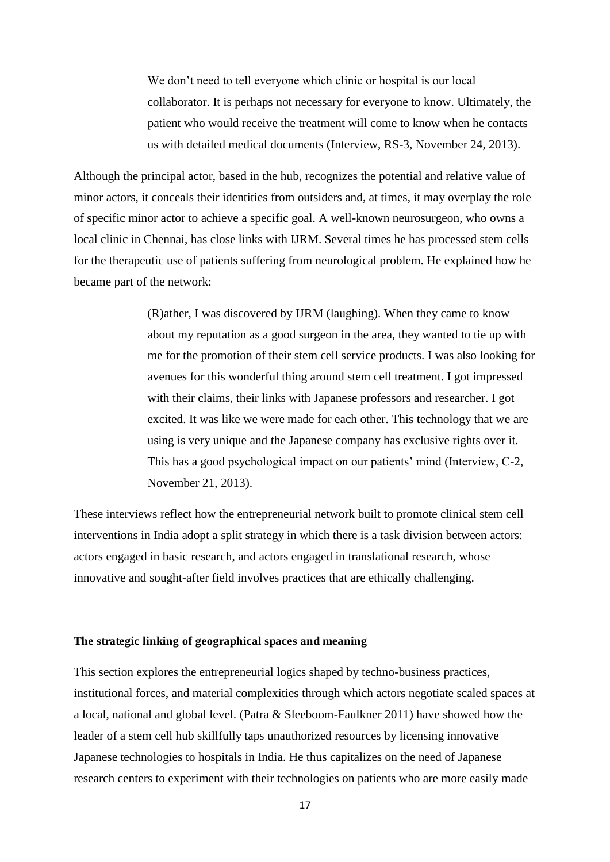We don't need to tell everyone which clinic or hospital is our local collaborator. It is perhaps not necessary for everyone to know. Ultimately, the patient who would receive the treatment will come to know when he contacts us with detailed medical documents (Interview, RS-3, November 24, 2013).

Although the principal actor, based in the hub, recognizes the potential and relative value of minor actors, it conceals their identities from outsiders and, at times, it may overplay the role of specific minor actor to achieve a specific goal. A well-known neurosurgeon, who owns a local clinic in Chennai, has close links with IJRM. Several times he has processed stem cells for the therapeutic use of patients suffering from neurological problem. He explained how he became part of the network:

> (R)ather, I was discovered by IJRM (laughing). When they came to know about my reputation as a good surgeon in the area, they wanted to tie up with me for the promotion of their stem cell service products. I was also looking for avenues for this wonderful thing around stem cell treatment. I got impressed with their claims, their links with Japanese professors and researcher. I got excited. It was like we were made for each other. This technology that we are using is very unique and the Japanese company has exclusive rights over it. This has a good psychological impact on our patients' mind (Interview, C-2, November 21, 2013).

These interviews reflect how the entrepreneurial network built to promote clinical stem cell interventions in India adopt a split strategy in which there is a task division between actors: actors engaged in basic research, and actors engaged in translational research, whose innovative and sought-after field involves practices that are ethically challenging.

#### **The strategic linking of geographical spaces and meaning**

This section explores the entrepreneurial logics shaped by techno-business practices, institutional forces, and material complexities through which actors negotiate scaled spaces at a local, national and global level. (Patra & Sleeboom-Faulkner 2011) have showed how the leader of a stem cell hub skillfully taps unauthorized resources by licensing innovative Japanese technologies to hospitals in India. He thus capitalizes on the need of Japanese research centers to experiment with their technologies on patients who are more easily made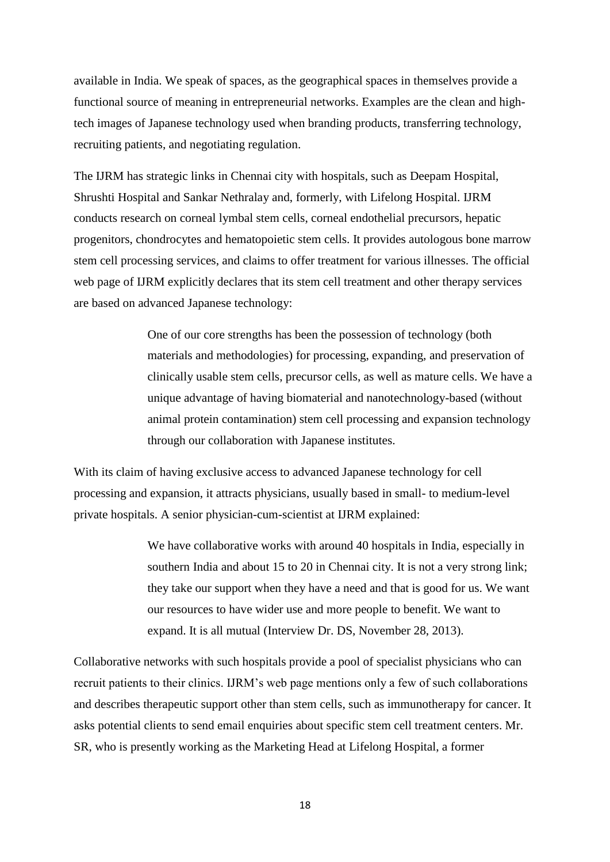available in India. We speak of spaces, as the geographical spaces in themselves provide a functional source of meaning in entrepreneurial networks. Examples are the clean and hightech images of Japanese technology used when branding products, transferring technology, recruiting patients, and negotiating regulation.

The IJRM has strategic links in Chennai city with hospitals, such as Deepam Hospital, Shrushti Hospital and Sankar Nethralay and, formerly, with Lifelong Hospital. IJRM conducts research on corneal lymbal stem cells, corneal endothelial precursors, hepatic progenitors, chondrocytes and hematopoietic stem cells. It provides autologous bone marrow stem cell processing services, and claims to offer treatment for various illnesses. The official web page of IJRM explicitly declares that its stem cell treatment and other therapy services are based on advanced Japanese technology:

> One of our core strengths has been the possession of technology (both materials and methodologies) for processing, expanding, and preservation of clinically usable stem cells, precursor cells, as well as mature cells. We have a unique advantage of having biomaterial and nanotechnology-based (without animal protein contamination) stem cell processing and expansion technology through our collaboration with Japanese institutes.

With its claim of having exclusive access to advanced Japanese technology for cell processing and expansion, it attracts physicians, usually based in small- to medium-level private hospitals. A senior physician-cum-scientist at IJRM explained:

> We have collaborative works with around 40 hospitals in India, especially in southern India and about 15 to 20 in Chennai city. It is not a very strong link; they take our support when they have a need and that is good for us. We want our resources to have wider use and more people to benefit. We want to expand. It is all mutual (Interview Dr. DS, November 28, 2013).

Collaborative networks with such hospitals provide a pool of specialist physicians who can recruit patients to their clinics. IJRM's web page mentions only a few of such collaborations and describes therapeutic support other than stem cells, such as immunotherapy for cancer. It asks potential clients to send email enquiries about specific stem cell treatment centers. Mr. SR, who is presently working as the Marketing Head at Lifelong Hospital, a former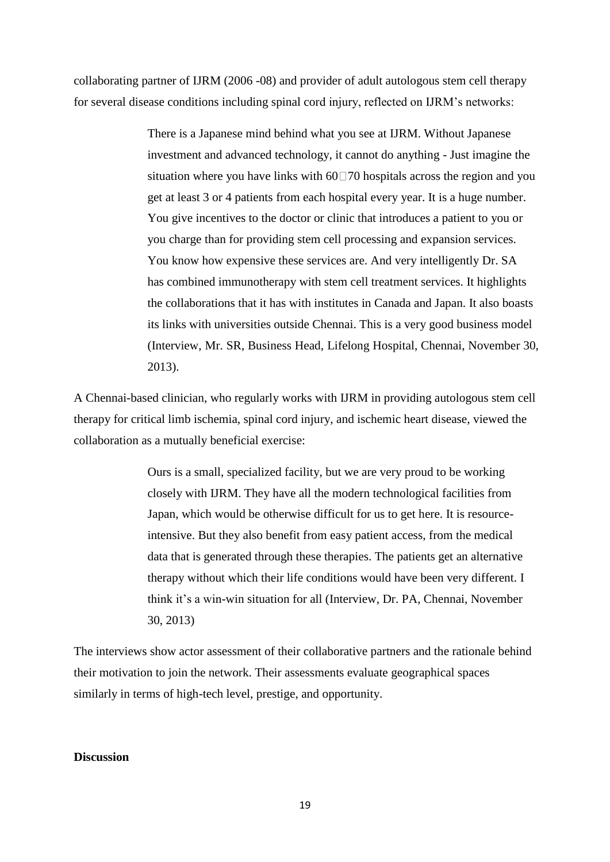collaborating partner of IJRM (2006 -08) and provider of adult autologous stem cell therapy for several disease conditions including spinal cord injury, reflected on IJRM's networks:

> There is a Japanese mind behind what you see at IJRM. Without Japanese investment and advanced technology, it cannot do anything - Just imagine the situation where you have links with  $60\overline{=}70$  hospitals across the region and you get at least 3 or 4 patients from each hospital every year. It is a huge number. You give incentives to the doctor or clinic that introduces a patient to you or you charge than for providing stem cell processing and expansion services. You know how expensive these services are. And very intelligently Dr. SA has combined immunotherapy with stem cell treatment services. It highlights the collaborations that it has with institutes in Canada and Japan. It also boasts its links with universities outside Chennai. This is a very good business model (Interview, Mr. SR, Business Head, Lifelong Hospital, Chennai, November 30, 2013).

A Chennai-based clinician, who regularly works with IJRM in providing autologous stem cell therapy for critical limb ischemia, spinal cord injury, and ischemic heart disease, viewed the collaboration as a mutually beneficial exercise:

> Ours is a small, specialized facility, but we are very proud to be working closely with IJRM. They have all the modern technological facilities from Japan, which would be otherwise difficult for us to get here. It is resourceintensive. But they also benefit from easy patient access, from the medical data that is generated through these therapies. The patients get an alternative therapy without which their life conditions would have been very different. I think it's a win-win situation for all (Interview, Dr. PA, Chennai, November 30, 2013)

The interviews show actor assessment of their collaborative partners and the rationale behind their motivation to join the network. Their assessments evaluate geographical spaces similarly in terms of high-tech level, prestige, and opportunity.

#### **Discussion**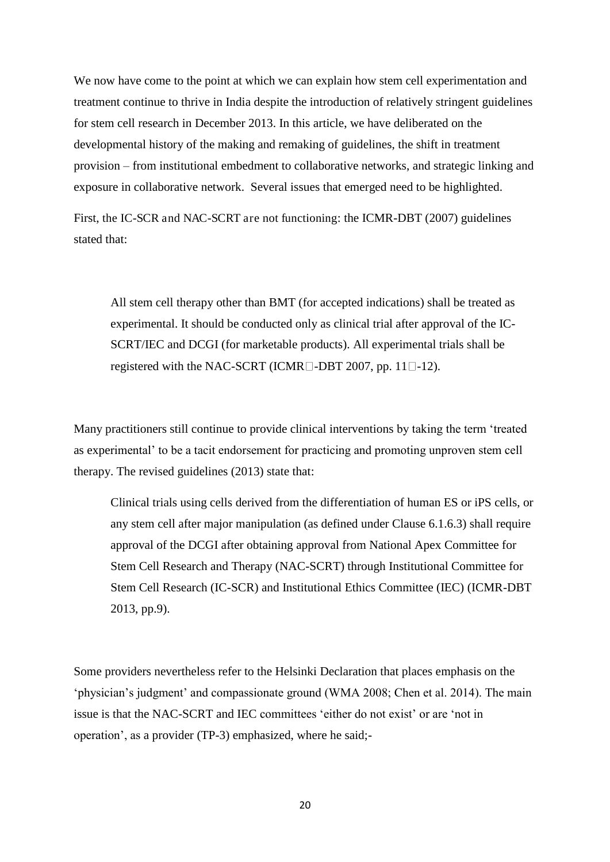We now have come to the point at which we can explain how stem cell experimentation and treatment continue to thrive in India despite the introduction of relatively stringent guidelines for stem cell research in December 2013. In this article, we have deliberated on the developmental history of the making and remaking of guidelines, the shift in treatment provision – from institutional embedment to collaborative networks, and strategic linking and exposure in collaborative network. Several issues that emerged need to be highlighted.

First, the IC-SCR and NAC-SCRT are not functioning: the ICMR-DBT (2007) guidelines stated that:

All stem cell therapy other than BMT (for accepted indications) shall be treated as experimental. It should be conducted only as clinical trial after approval of the IC-SCRT/IEC and DCGI (for marketable products). All experimental trials shall be registered with the NAC-SCRT (ICMR $\Box$ -DBT 2007, pp. 11 $\Box$ -12).

Many practitioners still continue to provide clinical interventions by taking the term 'treated as experimental' to be a tacit endorsement for practicing and promoting unproven stem cell therapy. The revised guidelines (2013) state that:

Clinical trials using cells derived from the differentiation of human ES or iPS cells, or any stem cell after major manipulation (as defined under Clause 6.1.6.3) shall require approval of the DCGI after obtaining approval from National Apex Committee for Stem Cell Research and Therapy (NAC-SCRT) through Institutional Committee for Stem Cell Research (IC-SCR) and Institutional Ethics Committee (IEC) (ICMR-DBT 2013, pp.9).

Some providers nevertheless refer to the Helsinki Declaration that places emphasis on the 'physician's judgment' and compassionate ground (WMA 2008; Chen et al. 2014). The main issue is that the NAC-SCRT and IEC committees 'either do not exist' or are 'not in operation', as a provider (TP-3) emphasized, where he said;-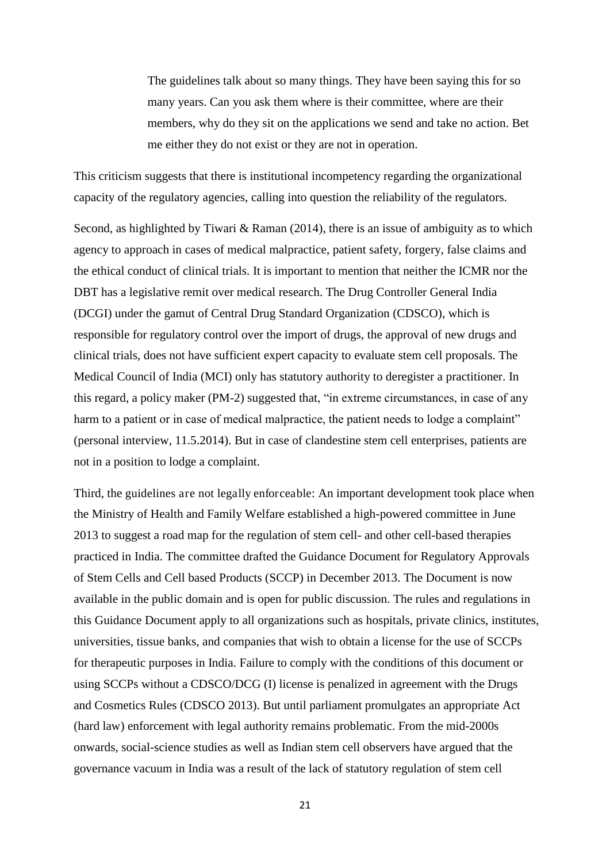The guidelines talk about so many things. They have been saying this for so many years. Can you ask them where is their committee, where are their members, why do they sit on the applications we send and take no action. Bet me either they do not exist or they are not in operation.

This criticism suggests that there is institutional incompetency regarding the organizational capacity of the regulatory agencies, calling into question the reliability of the regulators.

Second, as highlighted by Tiwari & Raman (2014), there is an issue of ambiguity as to which agency to approach in cases of medical malpractice, patient safety, forgery, false claims and the ethical conduct of clinical trials. It is important to mention that neither the ICMR nor the DBT has a legislative remit over medical research. The Drug Controller General India (DCGI) under the gamut of Central Drug Standard Organization (CDSCO), which is responsible for regulatory control over the import of drugs, the approval of new drugs and clinical trials, does not have sufficient expert capacity to evaluate stem cell proposals. The Medical Council of India (MCI) only has statutory authority to deregister a practitioner. In this regard, a policy maker (PM-2) suggested that, "in extreme circumstances, in case of any harm to a patient or in case of medical malpractice, the patient needs to lodge a complaint" (personal interview, 11.5.2014). But in case of clandestine stem cell enterprises, patients are not in a position to lodge a complaint.

Third, the guidelines are not legally enforceable: An important development took place when the Ministry of Health and Family Welfare established a high-powered committee in June 2013 to suggest a road map for the regulation of stem cell- and other cell-based therapies practiced in India. The committee drafted the Guidance Document for Regulatory Approvals of Stem Cells and Cell based Products (SCCP) in December 2013. The Document is now available in the public domain and is open for public discussion. The rules and regulations in this Guidance Document apply to all organizations such as hospitals, private clinics, institutes, universities, tissue banks, and companies that wish to obtain a license for the use of SCCPs for therapeutic purposes in India. Failure to comply with the conditions of this document or using SCCPs without a CDSCO/DCG (I) license is penalized in agreement with the Drugs and Cosmetics Rules (CDSCO 2013). But until parliament promulgates an appropriate Act (hard law) enforcement with legal authority remains problematic. From the mid-2000s onwards, social-science studies as well as Indian stem cell observers have argued that the governance vacuum in India was a result of the lack of statutory regulation of stem cell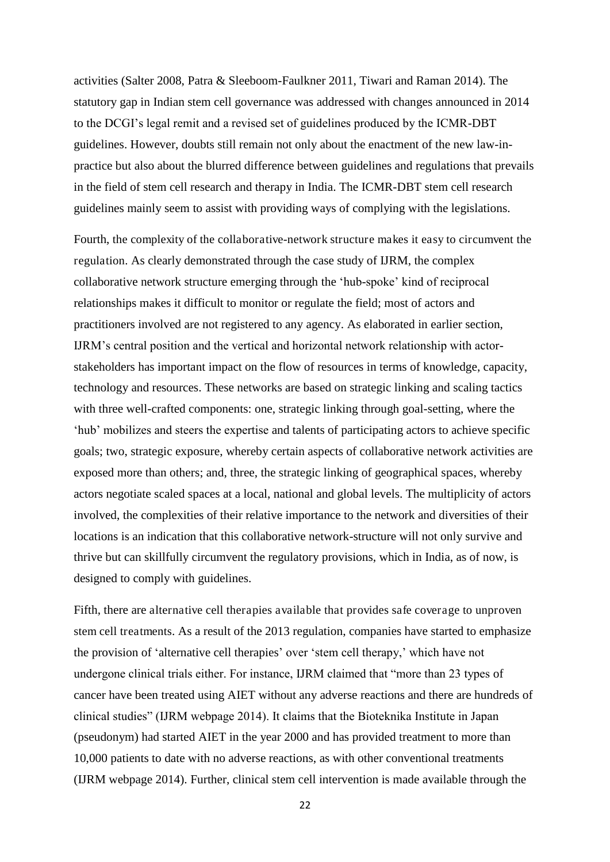activities (Salter 2008, Patra & Sleeboom-Faulkner 2011, Tiwari and Raman 2014). The statutory gap in Indian stem cell governance was addressed with changes announced in 2014 to the DCGI's legal remit and a revised set of guidelines produced by the ICMR-DBT guidelines. However, doubts still remain not only about the enactment of the new law-inpractice but also about the blurred difference between guidelines and regulations that prevails in the field of stem cell research and therapy in India. The ICMR-DBT stem cell research guidelines mainly seem to assist with providing ways of complying with the legislations.

Fourth, the complexity of the collaborative-network structure makes it easy to circumvent the regulation. As clearly demonstrated through the case study of IJRM, the complex collaborative network structure emerging through the 'hub-spoke' kind of reciprocal relationships makes it difficult to monitor or regulate the field; most of actors and practitioners involved are not registered to any agency. As elaborated in earlier section, IJRM's central position and the vertical and horizontal network relationship with actorstakeholders has important impact on the flow of resources in terms of knowledge, capacity, technology and resources. These networks are based on strategic linking and scaling tactics with three well-crafted components: one, strategic linking through goal-setting, where the 'hub' mobilizes and steers the expertise and talents of participating actors to achieve specific goals; two, strategic exposure, whereby certain aspects of collaborative network activities are exposed more than others; and, three, the strategic linking of geographical spaces, whereby actors negotiate scaled spaces at a local, national and global levels. The multiplicity of actors involved, the complexities of their relative importance to the network and diversities of their locations is an indication that this collaborative network-structure will not only survive and thrive but can skillfully circumvent the regulatory provisions, which in India, as of now, is designed to comply with guidelines.

Fifth, there are alternative cell therapies available that provides safe coverage to unproven stem cell treatments. As a result of the 2013 regulation, companies have started to emphasize the provision of 'alternative cell therapies' over 'stem cell therapy,' which have not undergone clinical trials either. For instance, IJRM claimed that "more than 23 types of cancer have been treated using AIET without any adverse reactions and there are hundreds of clinical studies" (IJRM webpage 2014). It claims that the Bioteknika Institute in Japan (pseudonym) had started AIET in the year 2000 and has provided treatment to more than 10,000 patients to date with no adverse reactions, as with other conventional treatments (IJRM webpage 2014). Further, clinical stem cell intervention is made available through the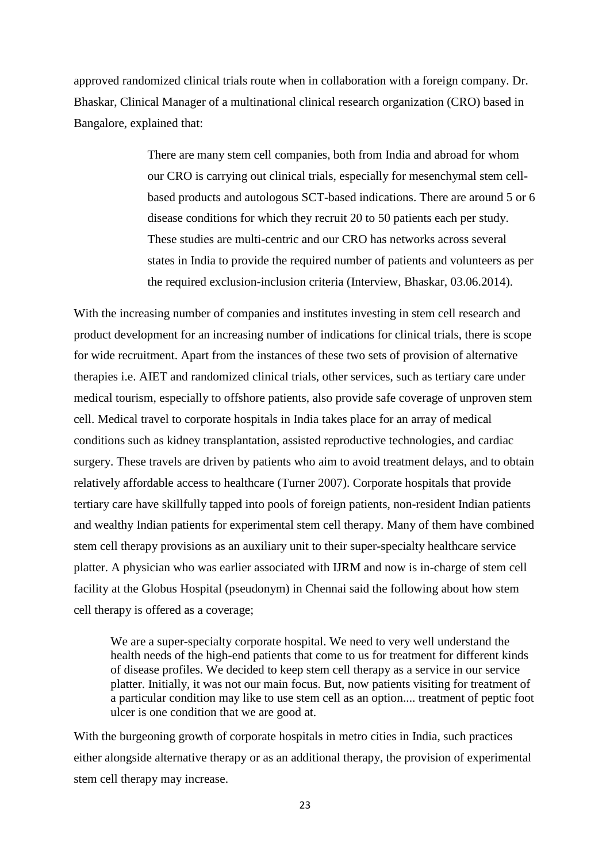approved randomized clinical trials route when in collaboration with a foreign company. Dr. Bhaskar, Clinical Manager of a multinational clinical research organization (CRO) based in Bangalore, explained that:

> There are many stem cell companies, both from India and abroad for whom our CRO is carrying out clinical trials, especially for mesenchymal stem cellbased products and autologous SCT-based indications. There are around 5 or 6 disease conditions for which they recruit 20 to 50 patients each per study. These studies are multi-centric and our CRO has networks across several states in India to provide the required number of patients and volunteers as per the required exclusion-inclusion criteria (Interview, Bhaskar, 03.06.2014).

With the increasing number of companies and institutes investing in stem cell research and product development for an increasing number of indications for clinical trials, there is scope for wide recruitment. Apart from the instances of these two sets of provision of alternative therapies i.e. AIET and randomized clinical trials, other services, such as tertiary care under medical tourism, especially to offshore patients, also provide safe coverage of unproven stem cell. Medical travel to corporate hospitals in India takes place for an array of medical conditions such as kidney transplantation, assisted reproductive technologies, and cardiac surgery. These travels are driven by patients who aim to avoid treatment delays, and to obtain relatively affordable access to healthcare (Turner 2007). Corporate hospitals that provide tertiary care have skillfully tapped into pools of foreign patients, non-resident Indian patients and wealthy Indian patients for experimental stem cell therapy. Many of them have combined stem cell therapy provisions as an auxiliary unit to their super-specialty healthcare service platter. A physician who was earlier associated with IJRM and now is in-charge of stem cell facility at the Globus Hospital (pseudonym) in Chennai said the following about how stem cell therapy is offered as a coverage;

 We are a super-specialty corporate hospital. We need to very well understand the health needs of the high-end patients that come to us for treatment for different kinds of disease profiles. We decided to keep stem cell therapy as a service in our service platter. Initially, it was not our main focus. But, now patients visiting for treatment of a particular condition may like to use stem cell as an option.... treatment of peptic foot ulcer is one condition that we are good at.

With the burgeoning growth of corporate hospitals in metro cities in India, such practices either alongside alternative therapy or as an additional therapy, the provision of experimental stem cell therapy may increase.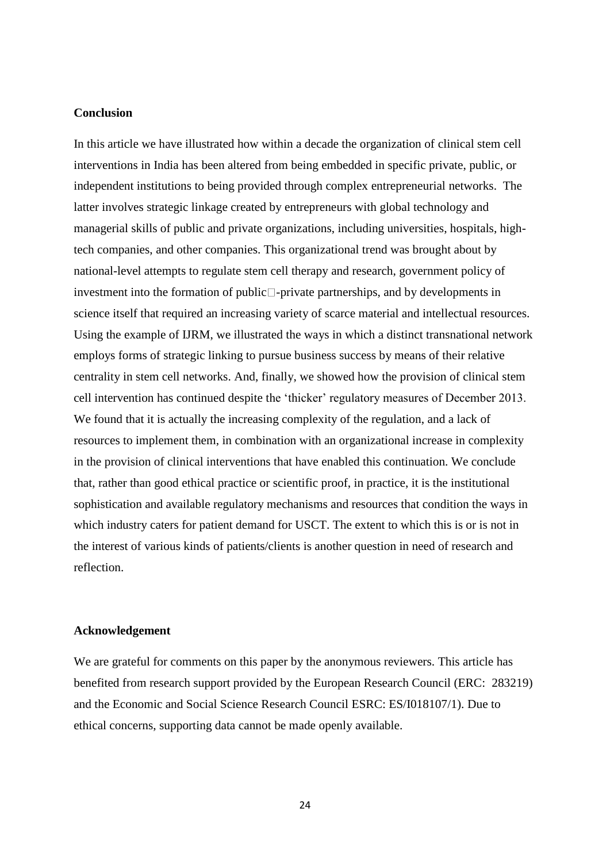#### **Conclusion**

In this article we have illustrated how within a decade the organization of clinical stem cell interventions in India has been altered from being embedded in specific private, public, or independent institutions to being provided through complex entrepreneurial networks. The latter involves strategic linkage created by entrepreneurs with global technology and managerial skills of public and private organizations, including universities, hospitals, hightech companies, and other companies. This organizational trend was brought about by national-level attempts to regulate stem cell therapy and research, government policy of investment into the formation of public  $\Box$ -private partnerships, and by developments in science itself that required an increasing variety of scarce material and intellectual resources. Using the example of IJRM, we illustrated the ways in which a distinct transnational network employs forms of strategic linking to pursue business success by means of their relative centrality in stem cell networks. And, finally, we showed how the provision of clinical stem cell intervention has continued despite the 'thicker' regulatory measures of December 2013. We found that it is actually the increasing complexity of the regulation, and a lack of resources to implement them, in combination with an organizational increase in complexity in the provision of clinical interventions that have enabled this continuation. We conclude that, rather than good ethical practice or scientific proof, in practice, it is the institutional sophistication and available regulatory mechanisms and resources that condition the ways in which industry caters for patient demand for USCT. The extent to which this is or is not in the interest of various kinds of patients/clients is another question in need of research and reflection.

#### **Acknowledgement**

We are grateful for comments on this paper by the anonymous reviewers. This article has benefited from research support provided by the European Research Council (ERC: 283219) and the Economic and Social Science Research Council ESRC: ES/I018107/1). Due to ethical concerns, supporting data cannot be made openly available.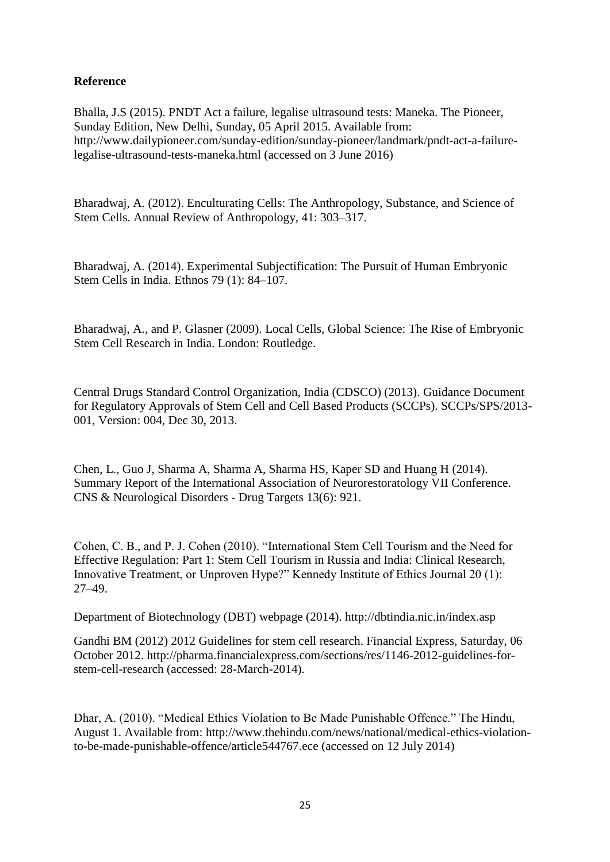# **Reference**

Bhalla, J.S (2015). PNDT Act a failure, legalise ultrasound tests: Maneka. The Pioneer, Sunday Edition, New Delhi, Sunday, 05 April 2015. Available from: http://www.dailypioneer.com/sunday-edition/sunday-pioneer/landmark/pndt-act-a-failurelegalise-ultrasound-tests-maneka.html (accessed on 3 June 2016)

Bharadwaj, A. (2012). Enculturating Cells: The Anthropology, Substance, and Science of Stem Cells. Annual Review of Anthropology, 41: 303–317.

Bharadwaj, A. (2014). Experimental Subjectification: The Pursuit of Human Embryonic Stem Cells in India. Ethnos 79 (1): 84–107.

Bharadwaj, A., and P. Glasner (2009). Local Cells, Global Science: The Rise of Embryonic Stem Cell Research in India. London: Routledge.

Central Drugs Standard Control Organization, India (CDSCO) (2013). Guidance Document for Regulatory Approvals of Stem Cell and Cell Based Products (SCCPs). SCCPs/SPS/2013- 001, Version: 004, Dec 30, 2013.

Chen, L., Guo J, Sharma A, Sharma A, Sharma HS, Kaper SD and Huang H (2014). Summary Report of the International Association of Neurorestoratology VII Conference. CNS & Neurological Disorders - Drug Targets 13(6): 921.

Cohen, C. B., and P. J. Cohen (2010). "International Stem Cell Tourism and the Need for Effective Regulation: Part 1: Stem Cell Tourism in Russia and India: Clinical Research, Innovative Treatment, or Unproven Hype?" Kennedy Institute of Ethics Journal 20 (1): 27–49.

Department of Biotechnology (DBT) webpage (2014). http://dbtindia.nic.in/index.asp

Gandhi BM (2012) 2012 Guidelines for stem cell research. Financial Express, Saturday, 06 October 2012. http://pharma.financialexpress.com/sections/res/1146-2012-guidelines-forstem-cell-research (accessed: 28-March-2014).

Dhar, A. (2010). "Medical Ethics Violation to Be Made Punishable Offence." The Hindu, August 1. Available from: http://www.thehindu.com/news/national/medical-ethics-violationto-be-made-punishable-offence/article544767.ece (accessed on 12 July 2014)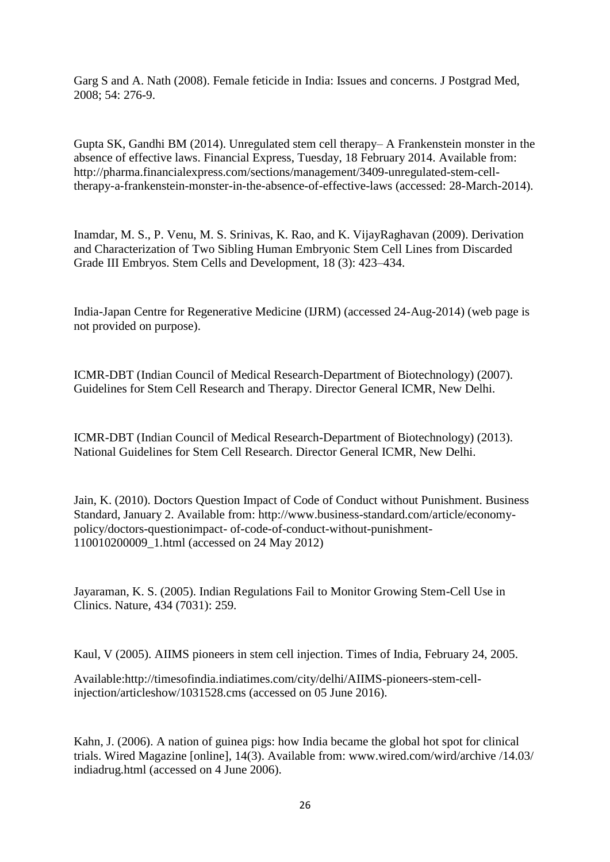Garg S and A. Nath (2008). Female feticide in India: Issues and concerns. J Postgrad Med, 2008; 54: 276-9.

Gupta SK, Gandhi BM (2014). Unregulated stem cell therapy– A Frankenstein monster in the absence of effective laws. Financial Express, Tuesday, 18 February 2014. Available from: http://pharma.financialexpress.com/sections/management/3409-unregulated-stem-celltherapy-a-frankenstein-monster-in-the-absence-of-effective-laws (accessed: 28-March-2014).

Inamdar, M. S., P. Venu, M. S. Srinivas, K. Rao, and K. VijayRaghavan (2009). Derivation and Characterization of Two Sibling Human Embryonic Stem Cell Lines from Discarded Grade III Embryos. Stem Cells and Development, 18 (3): 423–434.

India-Japan Centre for Regenerative Medicine (IJRM) (accessed 24-Aug-2014) (web page is not provided on purpose).

ICMR-DBT (Indian Council of Medical Research-Department of Biotechnology) (2007). Guidelines for Stem Cell Research and Therapy. Director General ICMR, New Delhi.

ICMR-DBT (Indian Council of Medical Research-Department of Biotechnology) (2013). National Guidelines for Stem Cell Research. Director General ICMR, New Delhi.

Jain, K. (2010). Doctors Question Impact of Code of Conduct without Punishment. Business Standard, January 2. Available from: http://www.business-standard.com/article/economypolicy/doctors-questionimpact- of-code-of-conduct-without-punishment-110010200009\_1.html (accessed on 24 May 2012)

Jayaraman, K. S. (2005). Indian Regulations Fail to Monitor Growing Stem-Cell Use in Clinics. Nature, 434 (7031): 259.

Kaul, V (2005). AIIMS pioneers in stem cell injection. Times of India, February 24, 2005.

Available:http://timesofindia.indiatimes.com/city/delhi/AIIMS-pioneers-stem-cellinjection/articleshow/1031528.cms (accessed on 05 June 2016).

Kahn, J. (2006). A nation of guinea pigs: how India became the global hot spot for clinical trials. Wired Magazine [online], 14(3). Available from: www.wired.com/wird/archive /14.03/ indiadrug.html (accessed on 4 June 2006).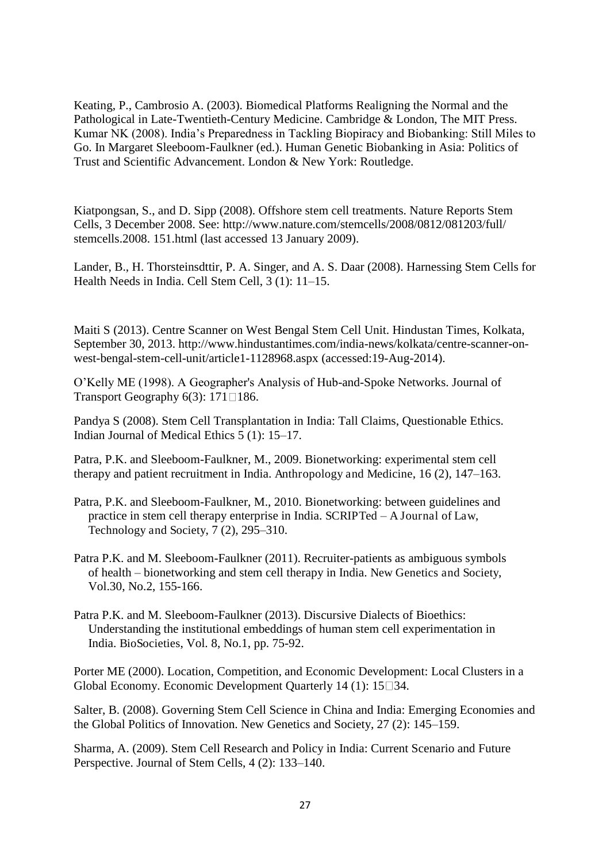Keating, P., Cambrosio A. (2003). Biomedical Platforms Realigning the Normal and the Pathological in Late-Twentieth-Century Medicine. Cambridge & London, The MIT Press. Kumar NK (2008). India's Preparedness in Tackling Biopiracy and Biobanking: Still Miles to Go. In Margaret Sleeboom-Faulkner (ed.). Human Genetic Biobanking in Asia: Politics of Trust and Scientific Advancement. London & New York: Routledge.

Kiatpongsan, S., and D. Sipp (2008). Offshore stem cell treatments. Nature Reports Stem Cells, 3 December 2008. See: http://www.nature.com/stemcells/2008/0812/081203/full/ stemcells.2008. 151.html (last accessed 13 January 2009).

Lander, B., H. Thorsteinsdttir, P. A. Singer, and A. S. Daar (2008). Harnessing Stem Cells for Health Needs in India. Cell Stem Cell, 3 (1): 11–15.

Maiti S (2013). Centre Scanner on West Bengal Stem Cell Unit. Hindustan Times, Kolkata, September 30, 2013. http://www.hindustantimes.com/india-news/kolkata/centre-scanner-onwest-bengal-stem-cell-unit/article1-1128968.aspx (accessed:19-Aug-2014).

O'Kelly ME (1998). A Geographer's Analysis of Hub-and-Spoke Networks. Journal of Transport Geography  $6(3)$ : 171 $\Box$ 186.

Pandya S (2008). Stem Cell Transplantation in India: Tall Claims, Questionable Ethics. Indian Journal of Medical Ethics 5 (1): 15–17.

Patra, P.K. and Sleeboom-Faulkner, M., 2009. Bionetworking: experimental stem cell therapy and patient recruitment in India. Anthropology and Medicine, 16 (2), 147–163.

- Patra, P.K. and Sleeboom-Faulkner, M., 2010. Bionetworking: between guidelines and practice in stem cell therapy enterprise in India. SCRIPTed *–* A Journal of Law, Technology and Society, 7 (2), 295–310.
- Patra P.K. and M. Sleeboom-Faulkner (2011). Recruiter-patients as ambiguous symbols of health – bionetworking and stem cell therapy in India. New Genetics and Society, Vol.30, No.2, 155-166.
- Patra P.K. and M. Sleeboom-Faulkner (2013). Discursive Dialects of Bioethics: Understanding the institutional embeddings of human stem cell experimentation in India. BioSocieties, Vol. 8, No.1, pp. 75-92.

Porter ME (2000). Location, Competition, and Economic Development: Local Clusters in a Global Economy. Economic Development Quarterly  $14$  (1):  $15 \square 34$ .

Salter, B. (2008). Governing Stem Cell Science in China and India: Emerging Economies and the Global Politics of Innovation. New Genetics and Society, 27 (2): 145–159.

Sharma, A. (2009). Stem Cell Research and Policy in India: Current Scenario and Future Perspective. Journal of Stem Cells, 4 (2): 133–140.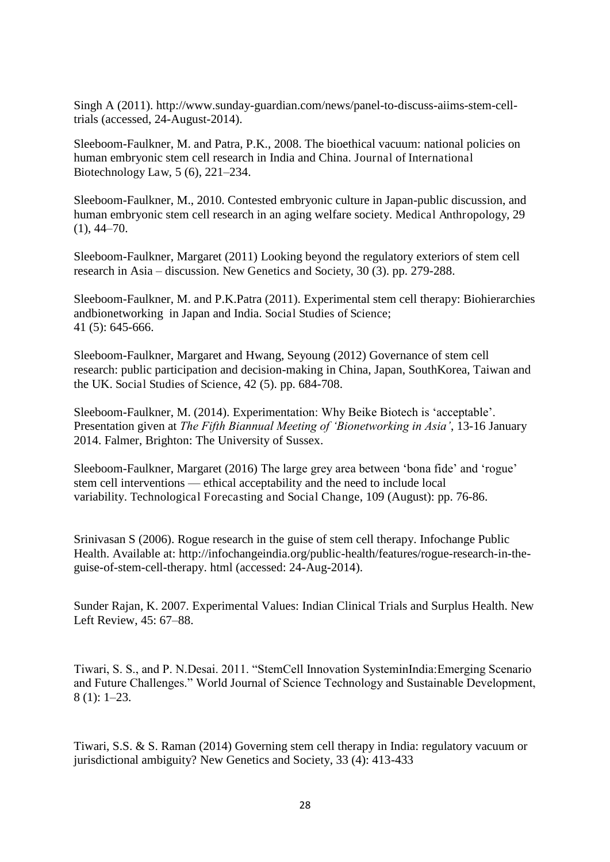Singh A (2011). http://www.sunday-guardian.com/news/panel-to-discuss-aiims-stem-celltrials (accessed, 24-August-2014).

Sleeboom-Faulkner, M. and Patra, P.K., 2008. The bioethical vacuum: national policies on human embryonic stem cell research in India and China. Journal of International Biotechnology Law, 5 (6), 221–234.

Sleeboom-Faulkner, M., 2010. Contested embryonic culture in Japan-public discussion, and human embryonic stem cell research in an aging welfare society. Medical Anthropology, 29  $(1), 44-70.$ 

Sleeboom-Faulkner, Margaret (2011) [Looking beyond the regulatory exteriors of stem cell](http://sro.sussex.ac.uk/10092/)  [research in Asia](http://sro.sussex.ac.uk/10092/) – discussion. New Genetics and Society, 30 (3). pp. 279-288.

Sleeboom-Faulkner, M. and P.K.Patra (2011). Experimental stem cell therapy: Biohierarchies andbionetworking in Japan and India. Social Studies of Science; 41 (5): 645-666.

Sleeboom-Faulkner, Margaret and Hwang, Seyoung (2012) [Governance of stem cell](http://sro.sussex.ac.uk/42933/)  [research: public participation and decision-making in China, Japan, SouthKorea, Taiwan and](http://sro.sussex.ac.uk/42933/)  [the UK.](http://sro.sussex.ac.uk/42933/) Social Studies of Science, 42 (5). pp. 684-708.

Sleeboom-Faulkner, M. (2014). Experimentation: Why Beike Biotech is 'acceptable'. Presentation given at *The Fifth Biannual Meeting of 'Bionetworking in Asia'*, 13-16 January 2014. Falmer, Brighton: The University of Sussex.

Sleeboom-Faulkner, Margaret (2016) [The large grey area between 'bona fide' and 'rogue'](http://sro.sussex.ac.uk/61698/)  stem cell interventions — [ethical acceptability and the need to include local](http://sro.sussex.ac.uk/61698/)  [variability.](http://sro.sussex.ac.uk/61698/) Technological Forecasting and Social Change, 109 (August): pp. 76-86.

Srinivasan S (2006). Rogue research in the guise of stem cell therapy. Infochange Public Health. Available at: http://infochangeindia.org/public-health/features/rogue-research-in-theguise-of-stem-cell-therapy. html (accessed: 24-Aug-2014).

Sunder Rajan, K. 2007. Experimental Values: Indian Clinical Trials and Surplus Health. New Left Review, 45: 67–88.

Tiwari, S. S., and P. N.Desai. 2011. "StemCell Innovation SysteminIndia:Emerging Scenario and Future Challenges." World Journal of Science Technology and Sustainable Development, 8 (1): 1–23.

Tiwari, S.S. & S. Raman (2014) Governing stem cell therapy in India: regulatory vacuum or jurisdictional ambiguity? New Genetics and Society, 33 (4): 413-433